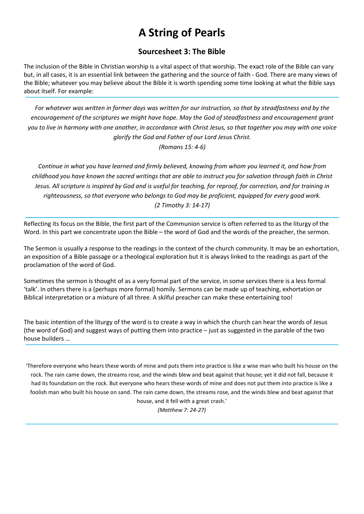# A String of Pearls

## Sourcesheet 3: The Bible

The inclusion of the Bible in Christian worship is a vital aspect of that worship. The exact role of the Bible can vary but, in all cases, it is an essential link between the gathering and the source of faith - God. There are many views of the Bible; whatever you may believe about the Bible it is worth spending some time looking at what the Bible says about itself. For example:

For whatever was written in former days was written for our instruction, so that by steadfastness and by the encouragement of the scriptures we might have hope. May the God of steadfastness and encouragement grant you to live in harmony with one another, in accordance with Christ Jesus, so that together you may with one voice glorify the God and Father of our Lord Jesus Christ. (Romans 15: 4-6)

Continue in what you have learned and firmly believed, knowing from whom you learned it, and how from childhood you have known the sacred writings that are able to instruct you for salvation through faith in Christ Jesus. All scripture is inspired by God and is useful for teaching, for reproof, for correction, and for training in righteousness, so that everyone who belongs to God may be proficient, equipped for every good work. (2 Timothy 3: 14-17)

Reflecting its focus on the Bible, the first part of the Communion service is often referred to as the liturgy of the Word. In this part we concentrate upon the Bible – the word of God and the words of the preacher, the sermon.

The Sermon is usually a response to the readings in the context of the church community. It may be an exhortation, an exposition of a Bible passage or a theological exploration but it is always linked to the readings as part of the proclamation of the word of God.

Sometimes the sermon is thought of as a very formal part of the service, in some services there is a less formal 'talk'. In others there is a (perhaps more formal) homily. Sermons can be made up of teaching, exhortation or Biblical interpretation or a mixture of all three. A skilful preacher can make these entertaining too!

The basic intention of the liturgy of the word is to create a way in which the church can hear the words of Jesus (the word of God) and suggest ways of putting them into practice – just as suggested in the parable of the two house builders …

'Therefore everyone who hears these words of mine and puts them into practice is like a wise man who built his house on the rock. The rain came down, the streams rose, and the winds blew and beat against that house; yet it did not fall, because it had its foundation on the rock. But everyone who hears these words of mine and does not put them into practice is like a foolish man who built his house on sand. The rain came down, the streams rose, and the winds blew and beat against that house, and it fell with a great crash.'

(Matthew 7: 24-27)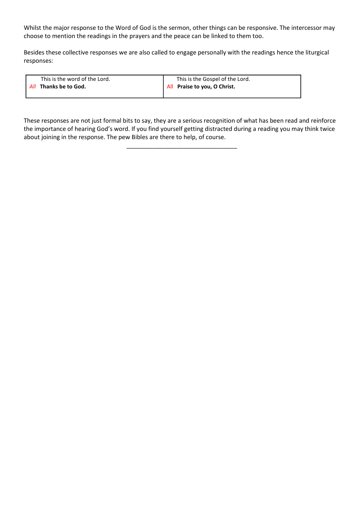Whilst the major response to the Word of God is the sermon, other things can be responsive. The intercessor may choose to mention the readings in the prayers and the peace can be linked to them too.

Besides these collective responses we are also called to engage personally with the readings hence the liturgical responses:

| This is the word of the Lord. | This is the Gospel of the Lord. |
|-------------------------------|---------------------------------|
| All Thanks be to God.         | All Praise to you, O Christ.    |
|                               |                                 |

These responses are not just formal bits to say, they are a serious recognition of what has been read and reinforce the importance of hearing God's word. If you find yourself getting distracted during a reading you may think twice about joining in the response. The pew Bibles are there to help, of course.

\_\_\_\_\_\_\_\_\_\_\_\_\_\_\_\_\_\_\_\_\_\_\_\_\_\_\_\_\_\_\_\_\_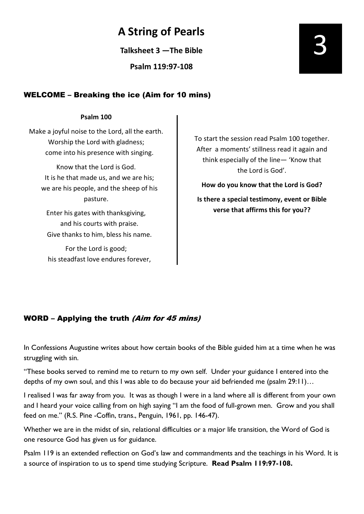## A String of Pearls

Talksheet 3 —The Bible

Psalm 119:97-108

## WELCOME – Breaking the ice (Aim for 10 mins)

#### Psalm 100

Make a joyful noise to the Lord, all the earth. Worship the Lord with gladness; come into his presence with singing.

Know that the Lord is God. It is he that made us, and we are his; we are his people, and the sheep of his pasture.

Enter his gates with thanksgiving, and his courts with praise. Give thanks to him, bless his name.

For the Lord is good; his steadfast love endures forever, To start the session read Psalm 100 together. After a moments' stillness read it again and think especially of the line— 'Know that the Lord is God'.

How do you know that the Lord is God? Is there a special testimony, event or Bible verse that affirms this for you??

### WORD – Applying the truth (Aim for 45 mins)

In Confessions Augustine writes about how certain books of the Bible guided him at a time when he was struggling with sin.

"These books served to remind me to return to my own self. Under your guidance I entered into the depths of my own soul, and this I was able to do because your aid befriended me (psalm 29:11)...

I realised I was far away from you. It was as though I were in a land where all is different from your own and I heard your voice calling from on high saying "I am the food of full-grown men. Grow and you shall feed on me." (R.S. Pine -Coffin, trans., Penguin, 1961, pp. 146-47).

Whether we are in the midst of sin, relational difficulties or a major life transition, the Word of God is one resource God has given us for guidance.

Psalm 119 is an extended reflection on God's law and commandments and the teachings in his Word. It is a source of inspiration to us to spend time studying Scripture. Read Psalm 119:97-108.